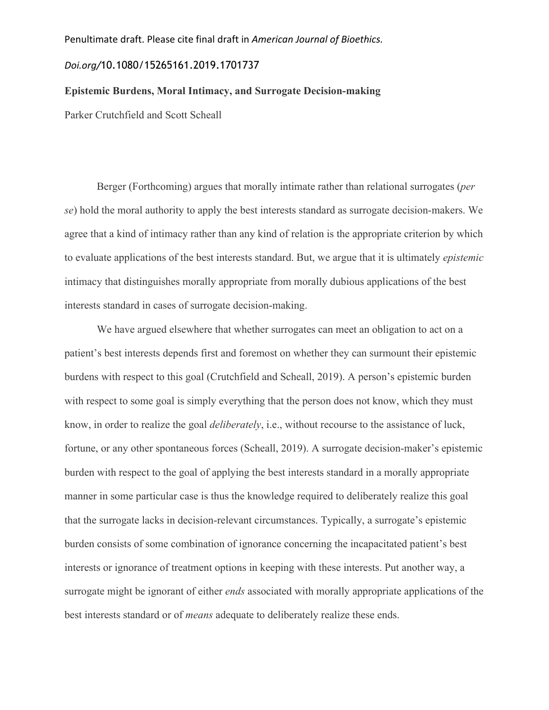#### Penultimate draft. Please cite final draft in *American Journal of Bioethics.*

## *Doi.org/*10.1080/15265161.2019.1701737

# **Epistemic Burdens, Moral Intimacy, and Surrogate Decision-making**

Parker Crutchfield and Scott Scheall

Berger (Forthcoming) argues that morally intimate rather than relational surrogates (*per se*) hold the moral authority to apply the best interests standard as surrogate decision-makers. We agree that a kind of intimacy rather than any kind of relation is the appropriate criterion by which to evaluate applications of the best interests standard. But, we argue that it is ultimately *epistemic*  intimacy that distinguishes morally appropriate from morally dubious applications of the best interests standard in cases of surrogate decision-making.

We have argued elsewhere that whether surrogates can meet an obligation to act on a patient's best interests depends first and foremost on whether they can surmount their epistemic burdens with respect to this goal (Crutchfield and Scheall, 2019). A person's epistemic burden with respect to some goal is simply everything that the person does not know, which they must know, in order to realize the goal *deliberately*, i.e., without recourse to the assistance of luck, fortune, or any other spontaneous forces (Scheall, 2019). A surrogate decision-maker's epistemic burden with respect to the goal of applying the best interests standard in a morally appropriate manner in some particular case is thus the knowledge required to deliberately realize this goal that the surrogate lacks in decision-relevant circumstances. Typically, a surrogate's epistemic burden consists of some combination of ignorance concerning the incapacitated patient's best interests or ignorance of treatment options in keeping with these interests. Put another way, a surrogate might be ignorant of either *ends* associated with morally appropriate applications of the best interests standard or of *means* adequate to deliberately realize these ends.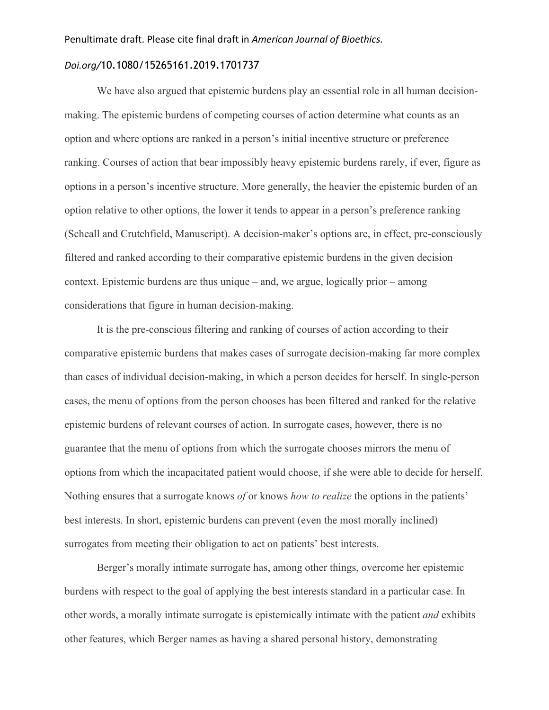### *Doi.org/*10.1080/15265161.2019.1701737

We have also argued that epistemic burdens play an essential role in all human decisionmaking. The epistemic burdens of competing courses of action determine what counts as an option and where options are ranked in a person's initial incentive structure or preference ranking. Courses of action that bear impossibly heavy epistemic burdens rarely, if ever, figure as options in a person's incentive structure. More generally, the heavier the epistemic burden of an option relative to other options, the lower it tends to appear in a person's preference ranking (Scheall and Crutchfield, Manuscript). A decision-maker's options are, in effect, pre-consciously filtered and ranked according to their comparative epistemic burdens in the given decision context. Epistemic burdens are thus unique – and, we argue, logically prior – among considerations that figure in human decision-making.

It is the pre-conscious filtering and ranking of courses of action according to their comparative epistemic burdens that makes cases of surrogate decision-making far more complex than cases of individual decision-making, in which a person decides for herself. In single-person cases, the menu of options from the person chooses has been filtered and ranked for the relative epistemic burdens of relevant courses of action. In surrogate cases, however, there is no guarantee that the menu of options from which the surrogate chooses mirrors the menu of options from which the incapacitated patient would choose, if she were able to decide for herself. Nothing ensures that a surrogate knows *of* or knows *how to realize* the options in the patients' best interests. In short, epistemic burdens can prevent (even the most morally inclined) surrogates from meeting their obligation to act on patients' best interests.

Berger's morally intimate surrogate has, among other things, overcome her epistemic burdens with respect to the goal of applying the best interests standard in a particular case. In other words, a morally intimate surrogate is epistemically intimate with the patient *and* exhibits other features, which Berger names as having a shared personal history, demonstrating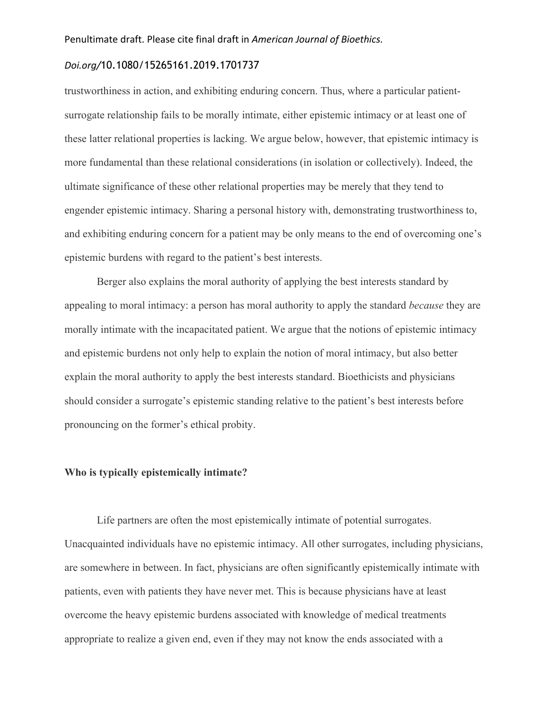### *Doi.org/*10.1080/15265161.2019.1701737

trustworthiness in action, and exhibiting enduring concern. Thus, where a particular patientsurrogate relationship fails to be morally intimate, either epistemic intimacy or at least one of these latter relational properties is lacking. We argue below, however, that epistemic intimacy is more fundamental than these relational considerations (in isolation or collectively). Indeed, the ultimate significance of these other relational properties may be merely that they tend to engender epistemic intimacy. Sharing a personal history with, demonstrating trustworthiness to, and exhibiting enduring concern for a patient may be only means to the end of overcoming one's epistemic burdens with regard to the patient's best interests.

Berger also explains the moral authority of applying the best interests standard by appealing to moral intimacy: a person has moral authority to apply the standard *because* they are morally intimate with the incapacitated patient. We argue that the notions of epistemic intimacy and epistemic burdens not only help to explain the notion of moral intimacy, but also better explain the moral authority to apply the best interests standard. Bioethicists and physicians should consider a surrogate's epistemic standing relative to the patient's best interests before pronouncing on the former's ethical probity.

### **Who is typically epistemically intimate?**

Life partners are often the most epistemically intimate of potential surrogates. Unacquainted individuals have no epistemic intimacy. All other surrogates, including physicians, are somewhere in between. In fact, physicians are often significantly epistemically intimate with patients, even with patients they have never met. This is because physicians have at least overcome the heavy epistemic burdens associated with knowledge of medical treatments appropriate to realize a given end, even if they may not know the ends associated with a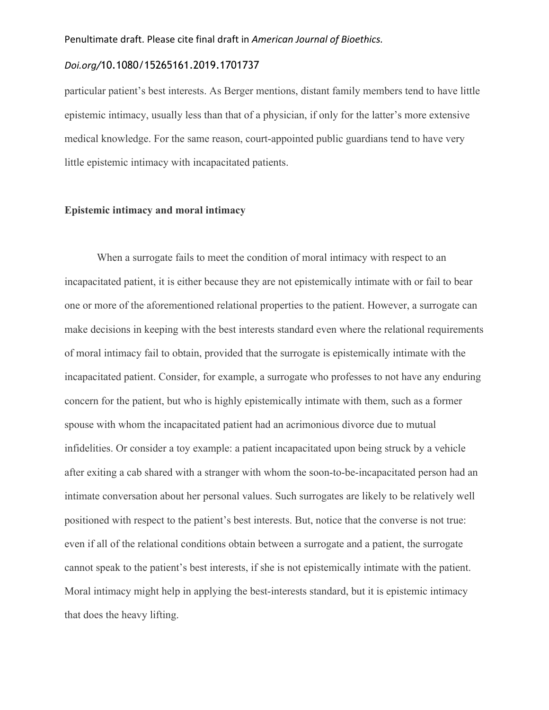### *Doi.org/*10.1080/15265161.2019.1701737

particular patient's best interests. As Berger mentions, distant family members tend to have little epistemic intimacy, usually less than that of a physician, if only for the latter's more extensive medical knowledge. For the same reason, court-appointed public guardians tend to have very little epistemic intimacy with incapacitated patients.

#### **Epistemic intimacy and moral intimacy**

When a surrogate fails to meet the condition of moral intimacy with respect to an incapacitated patient, it is either because they are not epistemically intimate with or fail to bear one or more of the aforementioned relational properties to the patient. However, a surrogate can make decisions in keeping with the best interests standard even where the relational requirements of moral intimacy fail to obtain, provided that the surrogate is epistemically intimate with the incapacitated patient. Consider, for example, a surrogate who professes to not have any enduring concern for the patient, but who is highly epistemically intimate with them, such as a former spouse with whom the incapacitated patient had an acrimonious divorce due to mutual infidelities. Or consider a toy example: a patient incapacitated upon being struck by a vehicle after exiting a cab shared with a stranger with whom the soon-to-be-incapacitated person had an intimate conversation about her personal values. Such surrogates are likely to be relatively well positioned with respect to the patient's best interests. But, notice that the converse is not true: even if all of the relational conditions obtain between a surrogate and a patient, the surrogate cannot speak to the patient's best interests, if she is not epistemically intimate with the patient. Moral intimacy might help in applying the best-interests standard, but it is epistemic intimacy that does the heavy lifting.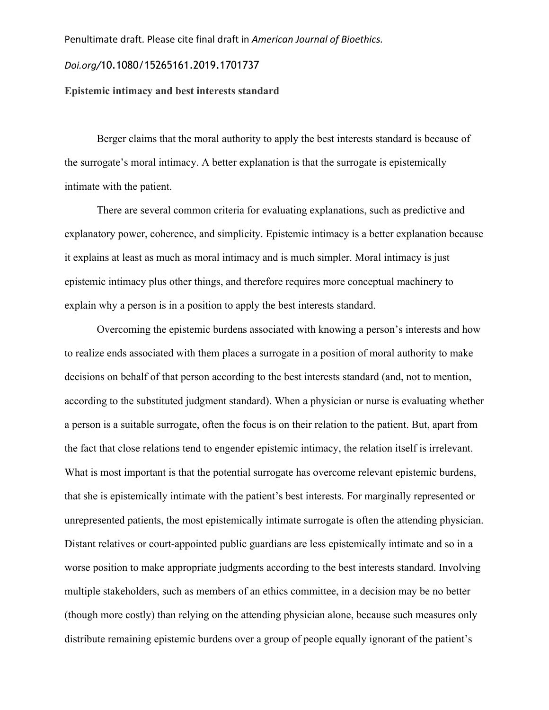#### Penultimate draft. Please cite final draft in *American Journal of Bioethics.*

## *Doi.org/*10.1080/15265161.2019.1701737

# **Epistemic intimacy and best interests standard**

Berger claims that the moral authority to apply the best interests standard is because of the surrogate's moral intimacy. A better explanation is that the surrogate is epistemically intimate with the patient.

There are several common criteria for evaluating explanations, such as predictive and explanatory power, coherence, and simplicity. Epistemic intimacy is a better explanation because it explains at least as much as moral intimacy and is much simpler. Moral intimacy is just epistemic intimacy plus other things, and therefore requires more conceptual machinery to explain why a person is in a position to apply the best interests standard.

Overcoming the epistemic burdens associated with knowing a person's interests and how to realize ends associated with them places a surrogate in a position of moral authority to make decisions on behalf of that person according to the best interests standard (and, not to mention, according to the substituted judgment standard). When a physician or nurse is evaluating whether a person is a suitable surrogate, often the focus is on their relation to the patient. But, apart from the fact that close relations tend to engender epistemic intimacy, the relation itself is irrelevant. What is most important is that the potential surrogate has overcome relevant epistemic burdens, that she is epistemically intimate with the patient's best interests. For marginally represented or unrepresented patients, the most epistemically intimate surrogate is often the attending physician. Distant relatives or court-appointed public guardians are less epistemically intimate and so in a worse position to make appropriate judgments according to the best interests standard. Involving multiple stakeholders, such as members of an ethics committee, in a decision may be no better (though more costly) than relying on the attending physician alone, because such measures only distribute remaining epistemic burdens over a group of people equally ignorant of the patient's